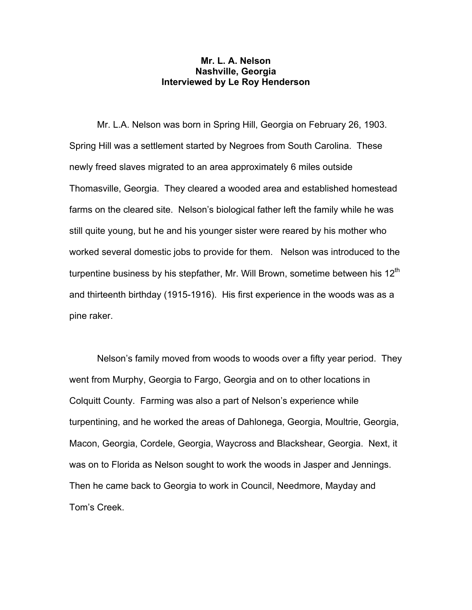# **Mr. L. A. Nelson Nashville, Georgia Interviewed by Le Roy Henderson**

 Mr. L.A. Nelson was born in Spring Hill, Georgia on February 26, 1903. Spring Hill was a settlement started by Negroes from South Carolina. These newly freed slaves migrated to an area approximately 6 miles outside Thomasville, Georgia. They cleared a wooded area and established homestead farms on the cleared site. Nelson's biological father left the family while he was still quite young, but he and his younger sister were reared by his mother who worked several domestic jobs to provide for them. Nelson was introduced to the turpentine business by his stepfather, Mr. Will Brown, sometime between his  $12<sup>th</sup>$ and thirteenth birthday (1915-1916). His first experience in the woods was as a pine raker.

 Nelson's family moved from woods to woods over a fifty year period. They went from Murphy, Georgia to Fargo, Georgia and on to other locations in Colquitt County. Farming was also a part of Nelson's experience while turpentining, and he worked the areas of Dahlonega, Georgia, Moultrie, Georgia, Macon, Georgia, Cordele, Georgia, Waycross and Blackshear, Georgia. Next, it was on to Florida as Nelson sought to work the woods in Jasper and Jennings. Then he came back to Georgia to work in Council, Needmore, Mayday and Tom's Creek.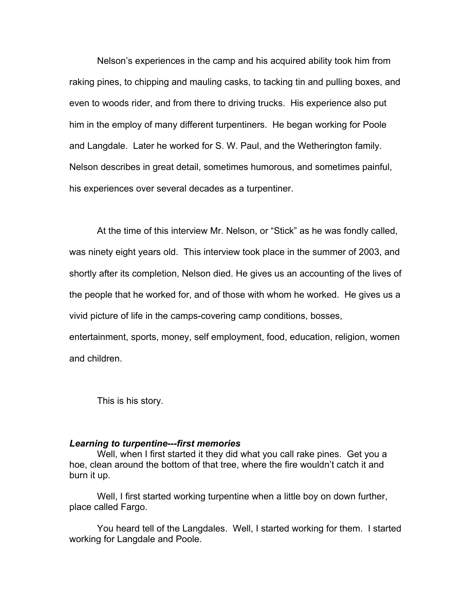Nelson's experiences in the camp and his acquired ability took him from raking pines, to chipping and mauling casks, to tacking tin and pulling boxes, and even to woods rider, and from there to driving trucks. His experience also put him in the employ of many different turpentiners. He began working for Poole and Langdale. Later he worked for S. W. Paul, and the Wetherington family. Nelson describes in great detail, sometimes humorous, and sometimes painful, his experiences over several decades as a turpentiner.

 At the time of this interview Mr. Nelson, or "Stick" as he was fondly called, was ninety eight years old. This interview took place in the summer of 2003, and shortly after its completion, Nelson died. He gives us an accounting of the lives of the people that he worked for, and of those with whom he worked. He gives us a vivid picture of life in the camps-covering camp conditions, bosses, entertainment, sports, money, self employment, food, education, religion, women

and children.

This is his story.

## *Learning to turpentine---first memories*

 Well, when I first started it they did what you call rake pines. Get you a hoe, clean around the bottom of that tree, where the fire wouldn't catch it and burn it up.

 Well, I first started working turpentine when a little boy on down further, place called Fargo.

 You heard tell of the Langdales. Well, I started working for them. I started working for Langdale and Poole.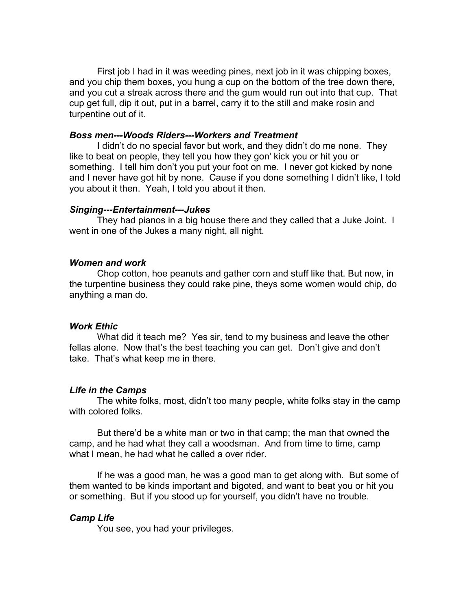First job I had in it was weeding pines, next job in it was chipping boxes, and you chip them boxes, you hung a cup on the bottom of the tree down there, and you cut a streak across there and the gum would run out into that cup. That cup get full, dip it out, put in a barrel, carry it to the still and make rosin and turpentine out of it.

### *Boss men---Woods Riders---Workers and Treatment*

I didn't do no special favor but work, and they didn't do me none. They like to beat on people, they tell you how they gon' kick you or hit you or something. I tell him don't you put your foot on me. I never got kicked by none and I never have got hit by none. Cause if you done something I didn't like, I told you about it then. Yeah, I told you about it then.

#### *Singing---Entertainment---Jukes*

 They had pianos in a big house there and they called that a Juke Joint. I went in one of the Jukes a many night, all night.

#### *Women and work*

 Chop cotton, hoe peanuts and gather corn and stuff like that. But now, in the turpentine business they could rake pine, theys some women would chip, do anything a man do.

### *Work Ethic*

 What did it teach me? Yes sir, tend to my business and leave the other fellas alone. Now that's the best teaching you can get. Don't give and don't take. That's what keep me in there.

#### *Life in the Camps*

 The white folks, most, didn't too many people, white folks stay in the camp with colored folks.

 But there'd be a white man or two in that camp; the man that owned the camp, and he had what they call a woodsman. And from time to time, camp what I mean, he had what he called a over rider.

 If he was a good man, he was a good man to get along with. But some of them wanted to be kinds important and bigoted, and want to beat you or hit you or something. But if you stood up for yourself, you didn't have no trouble.

### *Camp Life*

You see, you had your privileges.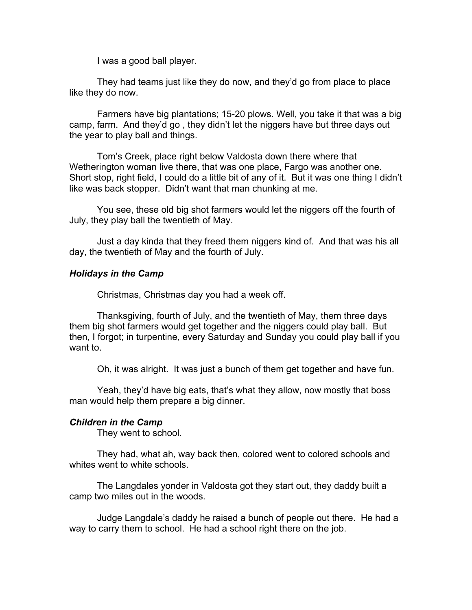I was a good ball player.

 They had teams just like they do now, and they'd go from place to place like they do now.

 Farmers have big plantations; 15-20 plows. Well, you take it that was a big camp, farm. And they'd go , they didn't let the niggers have but three days out the year to play ball and things.

 Tom's Creek, place right below Valdosta down there where that Wetherington woman live there, that was one place, Fargo was another one. Short stop, right field, I could do a little bit of any of it. But it was one thing I didn't like was back stopper. Didn't want that man chunking at me.

 You see, these old big shot farmers would let the niggers off the fourth of July, they play ball the twentieth of May.

 Just a day kinda that they freed them niggers kind of. And that was his all day, the twentieth of May and the fourth of July.

## *Holidays in the Camp*

Christmas, Christmas day you had a week off.

 Thanksgiving, fourth of July, and the twentieth of May, them three days them big shot farmers would get together and the niggers could play ball. But then, I forgot; in turpentine, every Saturday and Sunday you could play ball if you want to.

Oh, it was alright. It was just a bunch of them get together and have fun.

 Yeah, they'd have big eats, that's what they allow, now mostly that boss man would help them prepare a big dinner.

## *Children in the Camp*

They went to school.

 They had, what ah, way back then, colored went to colored schools and whites went to white schools.

 The Langdales yonder in Valdosta got they start out, they daddy built a camp two miles out in the woods.

 Judge Langdale's daddy he raised a bunch of people out there. He had a way to carry them to school. He had a school right there on the job.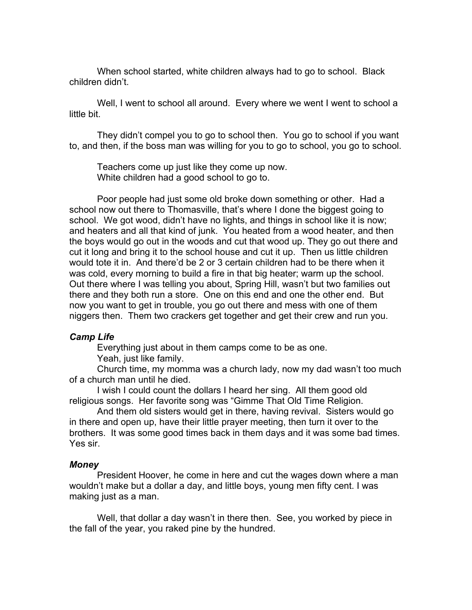When school started, white children always had to go to school. Black children didn't.

Well, I went to school all around. Every where we went I went to school a little bit.

 They didn't compel you to go to school then. You go to school if you want to, and then, if the boss man was willing for you to go to school, you go to school.

 Teachers come up just like they come up now. White children had a good school to go to.

 Poor people had just some old broke down something or other. Had a school now out there to Thomasville, that's where I done the biggest going to school. We got wood, didn't have no lights, and things in school like it is now; and heaters and all that kind of junk. You heated from a wood heater, and then the boys would go out in the woods and cut that wood up. They go out there and cut it long and bring it to the school house and cut it up. Then us little children would tote it in. And there'd be 2 or 3 certain children had to be there when it was cold, every morning to build a fire in that big heater; warm up the school. Out there where I was telling you about, Spring Hill, wasn't but two families out there and they both run a store. One on this end and one the other end. But now you want to get in trouble, you go out there and mess with one of them niggers then. Them two crackers get together and get their crew and run you.

## *Camp Life*

 Everything just about in them camps come to be as one. Yeah, just like family.

 Church time, my momma was a church lady, now my dad wasn't too much of a church man until he died.

 I wish I could count the dollars I heard her sing. All them good old religious songs. Her favorite song was "Gimme That Old Time Religion.

 And them old sisters would get in there, having revival. Sisters would go in there and open up, have their little prayer meeting, then turn it over to the brothers. It was some good times back in them days and it was some bad times. Yes sir.

### *Money*

 President Hoover, he come in here and cut the wages down where a man wouldn't make but a dollar a day, and little boys, young men fifty cent. I was making just as a man.

 Well, that dollar a day wasn't in there then. See, you worked by piece in the fall of the year, you raked pine by the hundred.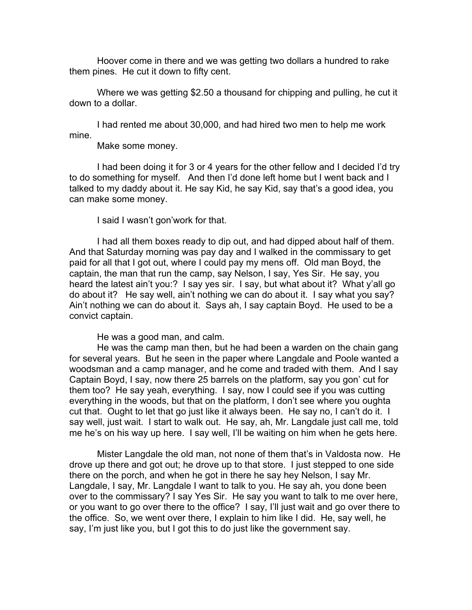Hoover come in there and we was getting two dollars a hundred to rake them pines. He cut it down to fifty cent.

 Where we was getting \$2.50 a thousand for chipping and pulling, he cut it down to a dollar.

 I had rented me about 30,000, and had hired two men to help me work mine.

Make some money.

 I had been doing it for 3 or 4 years for the other fellow and I decided I'd try to do something for myself. And then I'd done left home but I went back and I talked to my daddy about it. He say Kid, he say Kid, say that's a good idea, you can make some money.

I said I wasn't gon'work for that.

 I had all them boxes ready to dip out, and had dipped about half of them. And that Saturday morning was pay day and I walked in the commissary to get paid for all that I got out, where I could pay my mens off. Old man Boyd, the captain, the man that run the camp, say Nelson, I say, Yes Sir. He say, you heard the latest ain't you:? I say yes sir. I say, but what about it? What y'all go do about it? He say well, ain't nothing we can do about it. I say what you say? Ain't nothing we can do about it. Says ah, I say captain Boyd. He used to be a convict captain.

He was a good man, and calm.

 He was the camp man then, but he had been a warden on the chain gang for several years. But he seen in the paper where Langdale and Poole wanted a woodsman and a camp manager, and he come and traded with them. And I say Captain Boyd, I say, now there 25 barrels on the platform, say you gon' cut for them too? He say yeah, everything. I say, now I could see if you was cutting everything in the woods, but that on the platform, I don't see where you oughta cut that. Ought to let that go just like it always been. He say no, I can't do it. I say well, just wait. I start to walk out. He say, ah, Mr. Langdale just call me, told me he's on his way up here. I say well, I'll be waiting on him when he gets here.

 Mister Langdale the old man, not none of them that's in Valdosta now. He drove up there and got out; he drove up to that store. I just stepped to one side there on the porch, and when he got in there he say hey Nelson, I say Mr. Langdale, I say, Mr. Langdale I want to talk to you. He say ah, you done been over to the commissary? I say Yes Sir. He say you want to talk to me over here, or you want to go over there to the office? I say, I'll just wait and go over there to the office. So, we went over there, I explain to him like I did. He, say well, he say, I'm just like you, but I got this to do just like the government say.